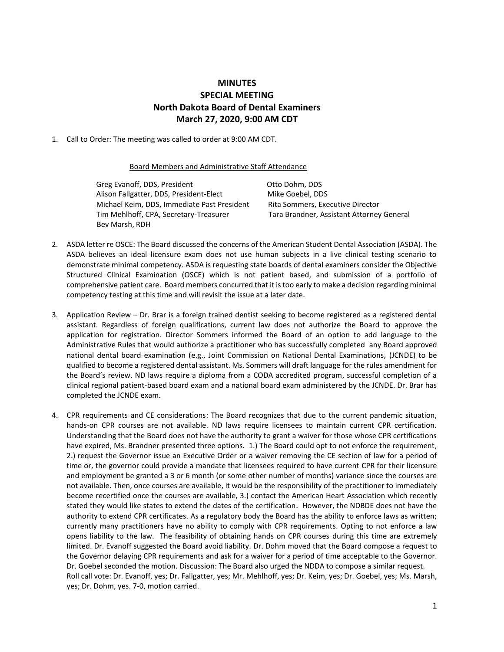## **MINUTES SPECIAL MEETING North Dakota Board of Dental Examiners March 27, 2020, 9:00 AM CDT**

1. Call to Order: The meeting was called to order at 9:00 AM CDT.

## Board Members and Administrative Staff Attendance

Greg Evanoff, DDS, President Case Company Corporation Otto Dohm, DDS Alison Fallgatter, DDS, President-Elect Mike Goebel, DDS Michael Keim, DDS, Immediate Past President Rita Sommers, Executive Director Tim Mehlhoff, CPA, Secretary-Treasurer Tara Brandner, Assistant Attorney General Bev Marsh, RDH

- 2. ASDA letter re OSCE: The Board discussed the concerns of the American Student Dental Association (ASDA). The ASDA believes an ideal licensure exam does not use human subjects in a live clinical testing scenario to demonstrate minimal competency. ASDA is requesting state boards of dental examiners consider the Objective Structured Clinical Examination (OSCE) which is not patient based, and submission of a portfolio of comprehensive patient care. Board members concurred that it is too early to make a decision regarding minimal competency testing at this time and will revisit the issue at a later date.
- 3. Application Review Dr. Brar is a foreign trained dentist seeking to become registered as a registered dental assistant. Regardless of foreign qualifications, current law does not authorize the Board to approve the application for registration. Director Sommers informed the Board of an option to add language to the Administrative Rules that would authorize a practitioner who has successfully completed any Board approved national dental board examination (e.g., Joint Commission on National Dental Examinations, (JCNDE) to be qualified to become a registered dental assistant. Ms. Sommers will draft language for the rules amendment for the Board's review. ND laws require a diploma from a CODA accredited program, successful completion of a clinical regional patient-based board exam and a national board exam administered by the JCNDE. Dr. Brar has completed the JCNDE exam.
- 4. CPR requirements and CE considerations: The Board recognizes that due to the current pandemic situation, hands-on CPR courses are not available. ND laws require licensees to maintain current CPR certification. Understanding that the Board does not have the authority to grant a waiver for those whose CPR certifications have expired, Ms. Brandner presented three options. 1.) The Board could opt to not enforce the requirement, 2.) request the Governor issue an Executive Order or a waiver removing the CE section of law for a period of time or, the governor could provide a mandate that licensees required to have current CPR for their licensure and employment be granted a 3 or 6 month (or some other number of months) variance since the courses are not available. Then, once courses are available, it would be the responsibility of the practitioner to immediately become recertified once the courses are available, 3.) contact the American Heart Association which recently stated they would like states to extend the dates of the certification. However, the NDBDE does not have the authority to extend CPR certificates. As a regulatory body the Board has the ability to enforce laws as written; currently many practitioners have no ability to comply with CPR requirements. Opting to not enforce a law opens liability to the law. The feasibility of obtaining hands on CPR courses during this time are extremely limited. Dr. Evanoff suggested the Board avoid liability. Dr. Dohm moved that the Board compose a request to the Governor delaying CPR requirements and ask for a waiver for a period of time acceptable to the Governor. Dr. Goebel seconded the motion. Discussion: The Board also urged the NDDA to compose a similar request. Roll call vote: Dr. Evanoff, yes; Dr. Fallgatter, yes; Mr. Mehlhoff, yes; Dr. Keim, yes; Dr. Goebel, yes; Ms. Marsh, yes; Dr. Dohm, yes. 7-0, motion carried.